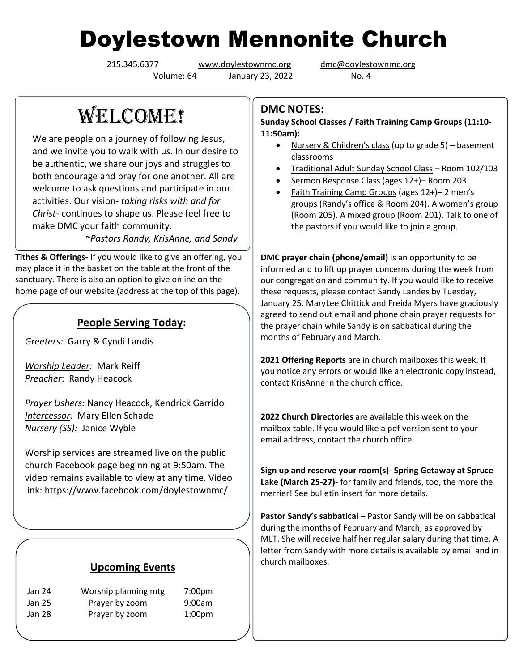# Doylestown Mennonite Church

Volume: 64 January 23, 2022 No. 4

215.345.6377 [www.doylestownmc.org](http://www.doylestownmc.org/) [dmc@doylestownmc.org](mailto:dmc@doylestownmc.org)

WELCOME!

We are people on a journey of following Jesus, and we invite you to walk with us. In our desire to be authentic, we share our joys and struggles to both encourage and pray for one another. All are welcome to ask questions and participate in our activities. Our vision- *taking risks with and for Christ*- continues to shape us. Please feel free to make DMC your faith community.

 *~Pastors Randy, KrisAnne, and Sandy*

**Tithes & Offerings-** If you would like to give an offering, you may place it in the basket on the table at the front of the sanctuary. There is also an option to give online on the home page of our website (address at the top of this page).

## **People Serving Today:**

*Greeters:* Garry & Cyndi Landis

*Worship Leader:* Mark Reiff *Preacher*: Randy Heacock

*Prayer Ushers:* Nancy Heacock, Kendrick Garrido *Intercessor:* Mary Ellen Schade *Nursery (SS):* Janice Wyble

Worship services are streamed live on the public church Facebook page beginning at 9:50am. The video remains available to view at any time. Video link: <https://www.facebook.com/doylestownmc/>

## **Upcoming Events**

| Jan 24 | Worship planning mtg | 7:00pm             |
|--------|----------------------|--------------------|
| Jan 25 | Prayer by zoom       | 9:00am             |
| Jan 28 | Prayer by zoom       | 1:00 <sub>pm</sub> |

## **DMC NOTES:**

**Sunday School Classes / Faith Training Camp Groups (11:10- 11:50am):**

- Nursery & Children's class (up to grade 5) basement classrooms
- Traditional Adult Sunday School Class Room 102/103
- Sermon Response Class (ages 12+)– Room 203
- Faith Training Camp Groups (ages 12+)– 2 men's groups (Randy's office & Room 204). A women's group (Room 205). A mixed group (Room 201). Talk to one of the pastors if you would like to join a group.

**DMC prayer chain (phone/email)** is an opportunity to be informed and to lift up prayer concerns during the week from our congregation and community. If you would like to receive these requests, please contact Sandy Landes by Tuesday, January 25. MaryLee Chittick and Freida Myers have graciously agreed to send out email and phone chain prayer requests for the prayer chain while Sandy is on sabbatical during the months of February and March.

**2021 Offering Reports** are in church mailboxes this week. If you notice any errors or would like an electronic copy instead, contact KrisAnne in the church office.

**2022 Church Directories** are available this week on the mailbox table. If you would like a pdf version sent to your email address, contact the church office.

**Sign up and reserve your room(s)- Spring Getaway at Spruce Lake (March 25-27)-** for family and friends, too, the more the merrier! See bulletin insert for more details.

**Pastor Sandy's sabbatical –** Pastor Sandy will be on sabbatical during the months of February and March, as approved by MLT. She will receive half her regular salary during that time. A letter from Sandy with more details is available by email and in church mailboxes.